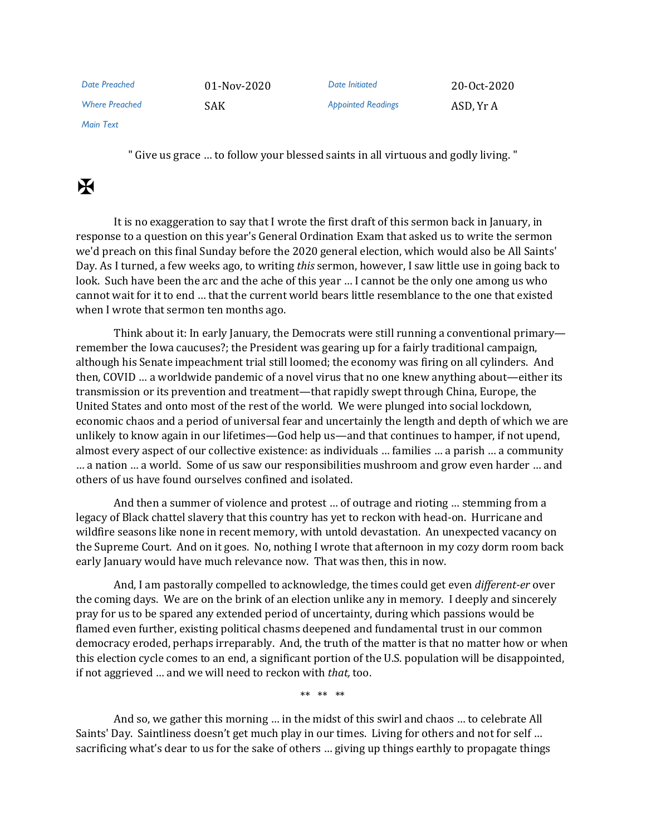| Date Preached         | $01-Nov-2020$ | Date Initiated            | 20-Oct-2020 |
|-----------------------|---------------|---------------------------|-------------|
| <b>Where Preached</b> | SAK           | <b>Appointed Readings</b> | ASD, Yr A   |

*Main Text*

" Give us grace … to follow your blessed saints in all virtuous and godly living. "

## $\mathbf H$

It is no exaggeration to say that I wrote the first draft of this sermon back in January, in response to a question on this year's General Ordination Exam that asked us to write the sermon we'd preach on this final Sunday before the 2020 general election, which would also be All Saints' Day. As I turned, a few weeks ago, to writing *this* sermon, however, I saw little use in going back to look. Such have been the arc and the ache of this year … I cannot be the only one among us who cannot wait for it to end … that the current world bears little resemblance to the one that existed when I wrote that sermon ten months ago.

Think about it: In early January, the Democrats were still running a conventional primary remember the Iowa caucuses?; the President was gearing up for a fairly traditional campaign, although his Senate impeachment trial still loomed; the economy was firing on all cylinders. And then, COVID … a worldwide pandemic of a novel virus that no one knew anything about—either its transmission or its prevention and treatment—that rapidly swept through China, Europe, the United States and onto most of the rest of the world. We were plunged into social lockdown, economic chaos and a period of universal fear and uncertainly the length and depth of which we are unlikely to know again in our lifetimes—God help us—and that continues to hamper, if not upend, almost every aspect of our collective existence: as individuals … families … a parish … a community … a nation … a world. Some of us saw our responsibilities mushroom and grow even harder … and others of us have found ourselves confined and isolated.

And then a summer of violence and protest … of outrage and rioting … stemming from a legacy of Black chattel slavery that this country has yet to reckon with head-on. Hurricane and wildfire seasons like none in recent memory, with untold devastation. An unexpected vacancy on the Supreme Court. And on it goes. No, nothing I wrote that afternoon in my cozy dorm room back early January would have much relevance now. That was then, this in now.

And, I am pastorally compelled to acknowledge, the times could get even *different-er* over the coming days. We are on the brink of an election unlike any in memory. I deeply and sincerely pray for us to be spared any extended period of uncertainty, during which passions would be flamed even further, existing political chasms deepened and fundamental trust in our common democracy eroded, perhaps irreparably. And, the truth of the matter is that no matter how or when this election cycle comes to an end, a significant portion of the U.S. population will be disappointed, if not aggrieved … and we will need to reckon with *that,* too.

\*\* \*\* \*\*

And so, we gather this morning … in the midst of this swirl and chaos … to celebrate All Saints' Day. Saintliness doesn't get much play in our times. Living for others and not for self … sacrificing what's dear to us for the sake of others … giving up things earthly to propagate things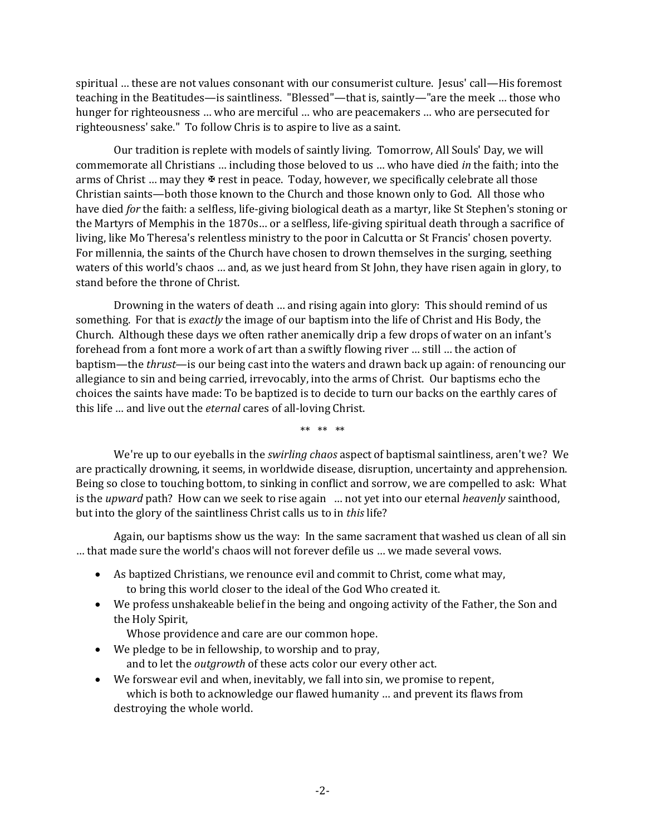spiritual … these are not values consonant with our consumerist culture. Jesus' call—His foremost teaching in the Beatitudes—is saintliness. "Blessed"—that is, saintly—"are the meek … those who hunger for righteousness … who are merciful … who are peacemakers … who are persecuted for righteousness' sake." To follow Chris is to aspire to live as a saint.

Our tradition is replete with models of saintly living. Tomorrow, All Souls' Day, we will commemorate all Christians … including those beloved to us … who have died *in* the faith; into the arms of Christ ... may they  $\mathcal F$  rest in peace. Today, however, we specifically celebrate all those Christian saints—both those known to the Church and those known only to God. All those who have died *for* the faith: a selfless, life-giving biological death as a martyr, like St Stephen's stoning or the Martyrs of Memphis in the 1870s… or a selfless, life-giving spiritual death through a sacrifice of living, like Mo Theresa's relentless ministry to the poor in Calcutta or St Francis' chosen poverty. For millennia, the saints of the Church have chosen to drown themselves in the surging, seething waters of this world's chaos … and, as we just heard from St John, they have risen again in glory, to stand before the throne of Christ.

Drowning in the waters of death … and rising again into glory: This should remind of us something. For that is *exactly* the image of our baptism into the life of Christ and His Body, the Church. Although these days we often rather anemically drip a few drops of water on an infant's forehead from a font more a work of art than a swiftly flowing river … still … the action of baptism—the *thrust*—is our being cast into the waters and drawn back up again: of renouncing our allegiance to sin and being carried, irrevocably, into the arms of Christ. Our baptisms echo the choices the saints have made: To be baptized is to decide to turn our backs on the earthly cares of this life … and live out the *eternal* cares of all-loving Christ.

\*\* \*\* \*\*

We're up to our eyeballs in the *swirling chaos* aspect of baptismal saintliness, aren't we? We are practically drowning, it seems, in worldwide disease, disruption, uncertainty and apprehension. Being so close to touching bottom, to sinking in conflict and sorrow, we are compelled to ask: What is the *upward* path? How can we seek to rise again … not yet into our eternal *heavenly* sainthood, but into the glory of the saintliness Christ calls us to in *this* life?

Again, our baptisms show us the way: In the same sacrament that washed us clean of all sin … that made sure the world's chaos will not forever defile us … we made several vows.

- As baptized Christians, we renounce evil and commit to Christ, come what may, to bring this world closer to the ideal of the God Who created it.
- We profess unshakeable belief in the being and ongoing activity of the Father, the Son and the Holy Spirit,

Whose providence and care are our common hope.

- We pledge to be in fellowship, to worship and to pray, and to let the *outgrowth* of these acts color our every other act.
- We forswear evil and when, inevitably, we fall into sin, we promise to repent, which is both to acknowledge our flawed humanity … and prevent its flaws from destroying the whole world.